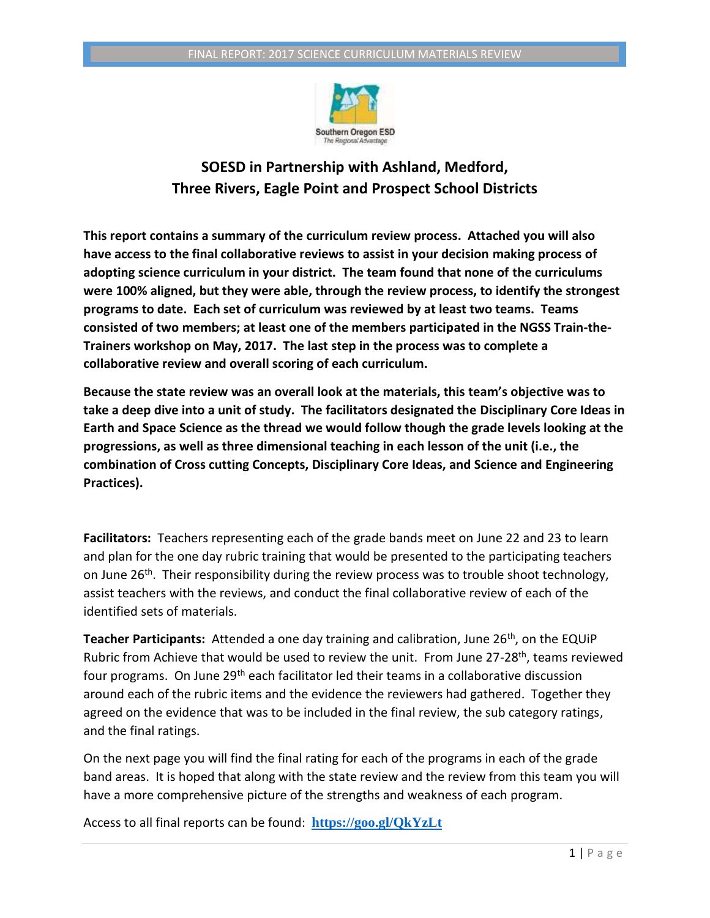

## **SOESD in Partnership with Ashland, Medford, Three Rivers, Eagle Point and Prospect School Districts**

**This report contains a summary of the curriculum review process. Attached you will also have access to the final collaborative reviews to assist in your decision making process of adopting science curriculum in your district. The team found that none of the curriculums were 100% aligned, but they were able, through the review process, to identify the strongest programs to date. Each set of curriculum was reviewed by at least two teams. Teams consisted of two members; at least one of the members participated in the NGSS Train-the-Trainers workshop on May, 2017. The last step in the process was to complete a collaborative review and overall scoring of each curriculum.** 

**Because the state review was an overall look at the materials, this team's objective was to take a deep dive into a unit of study. The facilitators designated the Disciplinary Core Ideas in Earth and Space Science as the thread we would follow though the grade levels looking at the progressions, as well as three dimensional teaching in each lesson of the unit (i.e., the combination of Cross cutting Concepts, Disciplinary Core Ideas, and Science and Engineering Practices).** 

**Facilitators:** Teachers representing each of the grade bands meet on June 22 and 23 to learn and plan for the one day rubric training that would be presented to the participating teachers on June 26<sup>th</sup>. Their responsibility during the review process was to trouble shoot technology, assist teachers with the reviews, and conduct the final collaborative review of each of the identified sets of materials.

**Teacher Participants:** Attended a one day training and calibration, June 26<sup>th</sup>, on the EQUIP Rubric from Achieve that would be used to review the unit. From June 27-28<sup>th</sup>, teams reviewed four programs. On June 29<sup>th</sup> each facilitator led their teams in a collaborative discussion around each of the rubric items and the evidence the reviewers had gathered. Together they agreed on the evidence that was to be included in the final review, the sub category ratings, and the final ratings.

On the next page you will find the final rating for each of the programs in each of the grade band areas. It is hoped that along with the state review and the review from this team you will have a more comprehensive picture of the strengths and weakness of each program.

Access to all final reports can be found: **<https://goo.gl/QkYzLt>**